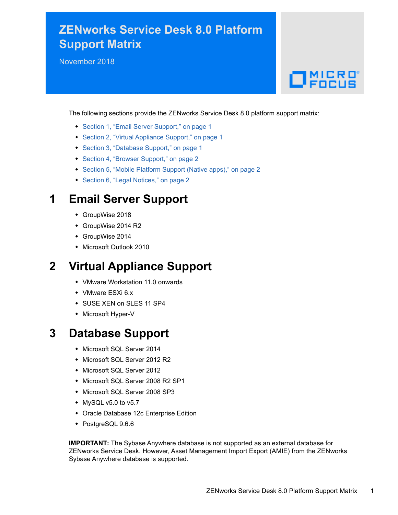# **ZENworks Service Desk 8.0 Platform Support Matrix**

November 2018

# $\Box$ MICRO

The following sections provide the ZENworks Service Desk 8.0 platform support matrix:

- [Section 1, "Email Server Support," on page 1](#page-0-0)
- [Section 2, "Virtual Appliance Support," on page 1](#page-0-1)
- [Section 3, "Database Support," on page 1](#page-0-2)
- [Section 4, "Browser Support," on page 2](#page-1-0)
- [Section 5, "Mobile Platform Support \(Native apps\)," on page 2](#page-1-1)
- [Section 6, "Legal Notices," on page 2](#page-1-2)

#### <span id="page-0-0"></span>**1 Email Server Support**

- GroupWise 2018
- GroupWise 2014 R2
- GroupWise 2014
- Microsoft Outlook 2010

## <span id="page-0-1"></span>**2 Virtual Appliance Support**

- VMware Workstation 11.0 onwards
- VMware ESXi 6.x
- SUSE XEN on SLES 11 SP4
- Microsoft Hyper-V

#### <span id="page-0-2"></span>**3 Database Support**

- Microsoft SQL Server 2014
- Microsoft SQL Server 2012 R2
- Microsoft SQL Server 2012
- Microsoft SQL Server 2008 R2 SP1
- Microsoft SQL Server 2008 SP3
- $\bullet$  MySQL v5.0 to v5.7
- Oracle Database 12c Enterprise Edition
- ◆ PostgreSQL 9.6.6

**IMPORTANT:** The Sybase Anywhere database is not supported as an external database for ZENworks Service Desk. However, Asset Management Import Export (AMIE) from the ZENworks Sybase Anywhere database is supported.